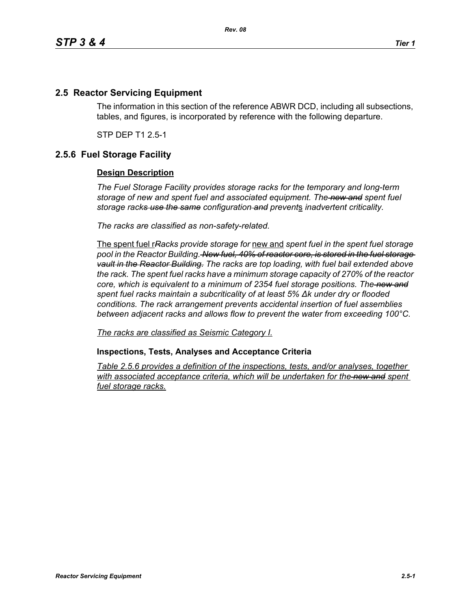## **2.5 Reactor Servicing Equipment**

The information in this section of the reference ABWR DCD, including all subsections, tables, and figures, is incorporated by reference with the following departure.

STP DEP T1 2.5-1

## **2.5.6 Fuel Storage Facility**

## **Design Description**

*The Fuel Storage Facility provides storage racks for the temporary and long-term storage of new and spent fuel and associated equipment. The new and spent fuel storage racks use the same configuration and prevent*s *inadvertent criticality.*

*The racks are classified as non-safety-related.*

The spent fuel r*Racks provide storage for* new and *spent fuel in the spent fuel storage pool in the Reactor Building. New fuel, 40% of reactor core, is stored in the fuel storage vault in the Reactor Building. The racks are top loading, with fuel bail extended above the rack. The spent fuel racks have a minimum storage capacity of 270% of the reactor core, which is equivalent to a minimum of 2354 fuel storage positions. The new and spent fuel racks maintain a subcriticality of at least 5% ∆k under dry or flooded conditions. The rack arrangement prevents accidental insertion of fuel assemblies between adjacent racks and allows flow to prevent the water from exceeding 100°C.*

*The racks are classified as Seismic Category I.*

**Inspections, Tests, Analyses and Acceptance Criteria**

*Table 2.5.6 provides a definition of the inspections, tests, and/or analyses, together*  with associated acceptance criteria, which will be undertaken for the new and spent *fuel storage racks.*